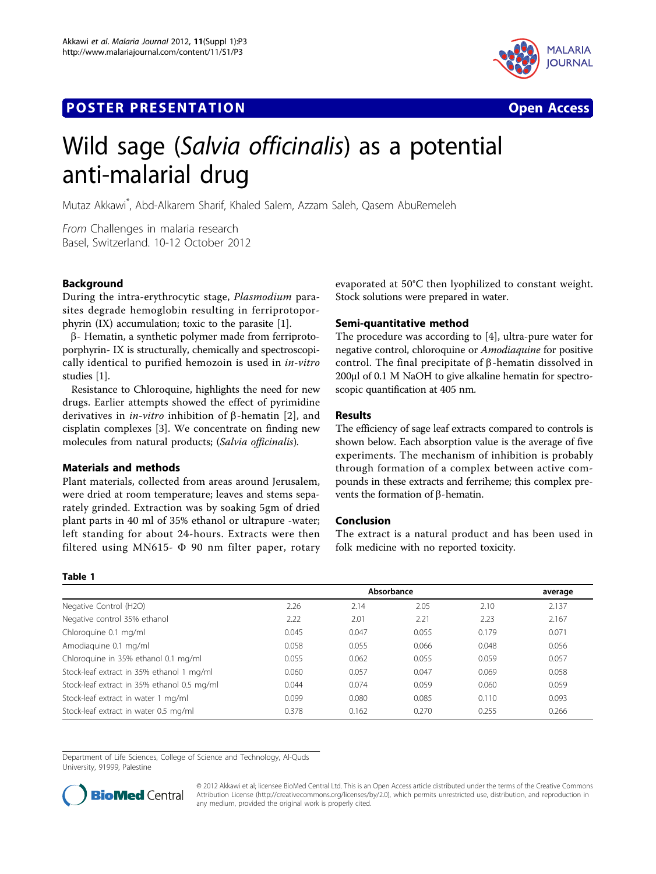## **POSTER PRESENTATION CONSUMING THE SERVICE SERVICE SERVICE SERVICES**



# Wild sage (Salvia officinalis) as a potential anti-malarial drug

Mutaz Akkawi\* , Abd-Alkarem Sharif, Khaled Salem, Azzam Saleh, Qasem AbuRemeleh

From Challenges in malaria research Basel, Switzerland. 10-12 October 2012

### **Background**

During the intra-erythrocytic stage, Plasmodium parasites degrade hemoglobin resulting in ferriprotoporphyrin (IX) accumulation; toxic to the parasite [[1\]](#page-1-0).

 $\beta$ - Hematin, a synthetic polymer made from ferriprotoporphyrin- IX is structurally, chemically and spectroscopically identical to purified hemozoin is used in in-vitro studies [[1\]](#page-1-0).

Resistance to Chloroquine, highlights the need for new drugs. Earlier attempts showed the effect of pyrimidine derivatives in *in-vitro* inhibition of  $\beta$ -hematin [[2\]](#page-1-0), and cisplatin complexes [\[3](#page-1-0)]. We concentrate on finding new molecules from natural products; (Salvia officinalis).

#### Materials and methods

Plant materials, collected from areas around Jerusalem, were dried at room temperature; leaves and stems separately grinded. Extraction was by soaking 5gm of dried plant parts in 40 ml of 35% ethanol or ultrapure -water; left standing for about 24-hours. Extracts were then filtered using MN615- $\Phi$  90 nm filter paper, rotary

### evaporated at 50°C then lyophilized to constant weight. Stock solutions were prepared in water.

#### Semi-quantitative method

The procedure was according to [[4\]](#page-1-0), ultra-pure water for negative control, chloroquine or Amodiaquine for positive control. The final precipitate of  $\beta$ -hematin dissolved in 200µl of 0.1 M NaOH to give alkaline hematin for spectroscopic quantification at 405 nm.

#### Results

The efficiency of sage leaf extracts compared to controls is shown below. Each absorption value is the average of five experiments. The mechanism of inhibition is probably through formation of a complex between active compounds in these extracts and ferriheme; this complex prevents the formation of  $\beta$ -hematin.

#### Conclusion

The extract is a natural product and has been used in folk medicine with no reported toxicity.

#### Table 1

|                                             | Absorbance |       |       |       | average |
|---------------------------------------------|------------|-------|-------|-------|---------|
| Negative Control (H2O)                      | 2.26       | 2.14  | 2.05  | 2.10  | 2.137   |
| Negative control 35% ethanol                | 2.22       | 2.01  | 2.21  | 2.23  | 2.167   |
| Chloroquine 0.1 mg/ml                       | 0.045      | 0.047 | 0.055 | 0.179 | 0.071   |
| Amodiaguine 0.1 mg/ml                       | 0.058      | 0.055 | 0.066 | 0.048 | 0.056   |
| Chloroquine in 35% ethanol 0.1 mg/ml        | 0.055      | 0.062 | 0.055 | 0.059 | 0.057   |
| Stock-leaf extract in 35% ethanol 1 mg/ml   | 0.060      | 0.057 | 0.047 | 0.069 | 0.058   |
| Stock-leaf extract in 35% ethanol 0.5 mg/ml | 0.044      | 0.074 | 0.059 | 0.060 | 0.059   |
| Stock-leaf extract in water 1 mg/ml         | 0.099      | 0.080 | 0.085 | 0.110 | 0.093   |
| Stock-leaf extract in water 0.5 mg/ml       | 0.378      | 0.162 | 0.270 | 0.255 | 0.266   |

Department of Life Sciences, College of Science and Technology, Al-Quds University, 91999, Palestine



© 2012 Akkawi et al; licensee BioMed Central Ltd. This is an Open Access article distributed under the terms of the Creative Commons Attribution License [\(http://creativecommons.org/licenses/by/2.0](http://creativecommons.org/licenses/by/2.0)), which permits unrestricted use, distribution, and reproduction in any medium, provided the original work is properly cited.